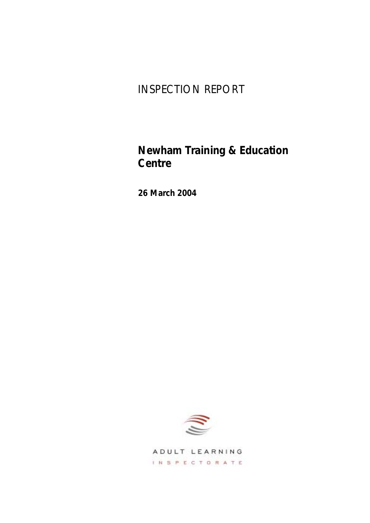# INSPECTION REPORT

# **Newham Training & Education Centre**

**26 March 2004**



ADULT LEARNING INSPECTORATE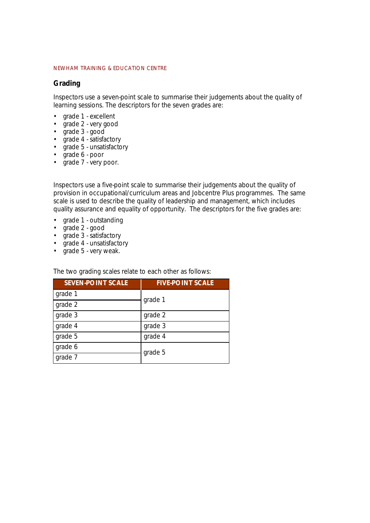## **Grading**

Inspectors use a seven-point scale to summarise their judgements about the quality of learning sessions. The descriptors for the seven grades are:

- *grade 1 excellent*
- *grade 2 very good*
- *grade 3 good*
- *grade 4 satisfactory*
- *grade 5 unsatisfactory*
- *grade 6 poor*
- *grade 7 very poor.*

Inspectors use a five-point scale to summarise their judgements about the quality of provision in occupational/curriculum areas and Jobcentre Plus programmes. The same scale is used to describe the quality of leadership and management, which includes quality assurance and equality of opportunity. The descriptors for the five grades are:

- *grade 1 outstanding*
- *grade 2 good*
- *grade 3 satisfactory*
- *grade 4 unsatisfactory*
- *grade 5 very weak.*

The two grading scales relate to each other as follows:

| <b>SEVEN-POINT SCALE</b> | <b>FIVE-POINT SCALE</b> |
|--------------------------|-------------------------|
| grade 1                  | grade 1                 |
| grade 2                  |                         |
| grade 3                  | grade 2                 |
| grade 4                  | grade 3                 |
| grade 5                  | grade 4                 |
| grade 6                  | grade 5                 |
| grade 7                  |                         |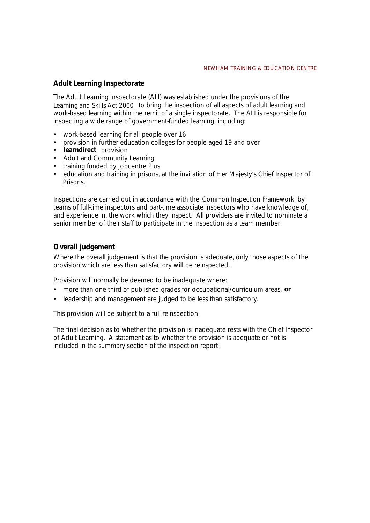## **Adult Learning Inspectorate**

The Adult Learning Inspectorate (ALI) was established under the provisions of the *Learning and Skills Act 2000* to bring the inspection of all aspects of adult learning and work-based learning within the remit of a single inspectorate. The ALI is responsible for inspecting a wide range of government-funded learning, including:

- work-based learning for all people over 16
- provision in further education colleges for people aged 19 and over
- learndirect provision
- Adult and Community Learning
- training funded by Jobcentre Plus
- education and training in prisons, at the invitation of Her Majesty's Chief Inspector of **Prisons**

Inspections are carried out in accordance with the *Common Inspection Framework* by teams of full-time inspectors and part-time associate inspectors who have knowledge of, and experience in, the work which they inspect. All providers are invited to nominate a senior member of their staff to participate in the inspection as a team member.

## **Overall judgement**

Where the overall judgement is that the provision is adequate, only those aspects of the provision which are less than satisfactory will be reinspected.

Provision will normally be deemed to be inadequate where:

- more than one third of published grades for occupational/curriculum areas, **or**
- leadership and management are judged to be less than satisfactory.

This provision will be subject to a full reinspection.

The final decision as to whether the provision is inadequate rests with the Chief Inspector of Adult Learning. A statement as to whether the provision is adequate or not is included in the summary section of the inspection report.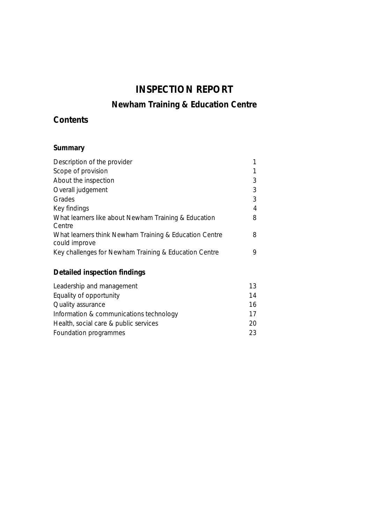# **INSPECTION REPORT**

# **Newham Training & Education Centre**

## **Contents**

## Summary

| Description of the provider                                             |   |
|-------------------------------------------------------------------------|---|
| Scope of provision                                                      |   |
| About the inspection                                                    | 3 |
| Overall judgement                                                       | 3 |
| Grades                                                                  | 3 |
| Key findings                                                            | 4 |
| What learners like about Newham Training & Education<br>Centre          | 8 |
| What learners think Newham Training & Education Centre<br>could improve | 8 |
| Key challenges for Newham Training & Education Centre                   | 9 |
|                                                                         |   |

## **Detailed inspection findings**

| Leadership and management               |    |
|-----------------------------------------|----|
| Equality of opportunity                 | 14 |
| Quality assurance                       | 16 |
| Information & communications technology | 17 |
| Health, social care & public services   | 20 |
| Foundation programmes                   | 23 |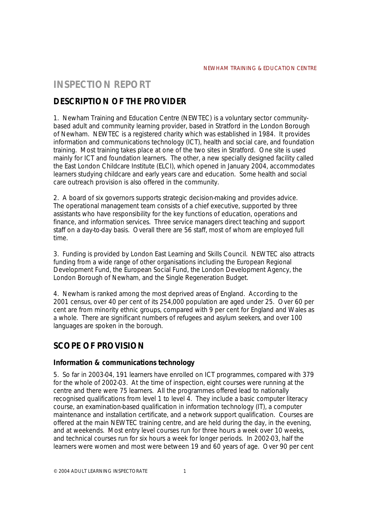## **INSPECTION REPORT**

## **DESCRIPTION OF THE PROVIDER**

1. Newham Training and Education Centre (NEWTEC) is a voluntary sector communitybased adult and community learning provider, based in Stratford in the London Borough of Newham. NEWTEC is a registered charity which was established in 1984. It provides information and communications technology (ICT), health and social care, and foundation training. Most training takes place at one of the two sites in Stratford. One site is used mainly for ICT and foundation learners. The other, a new specially designed facility called the East London Childcare Institute (ELCI), which opened in January 2004, accommodates learners studying childcare and early years care and education. Some health and social care outreach provision is also offered in the community.

2. A board of six governors supports strategic decision-making and provides advice. The operational management team consists of a chief executive, supported by three assistants who have responsibility for the key functions of education, operations and finance, and information services. Three service managers direct teaching and support staff on a day-to-day basis. Overall there are 56 staff, most of whom are employed full time.

3. Funding is provided by London East Learning and Skills Council. NEWTEC also attracts funding from a wide range of other organisations including the European Regional Development Fund, the European Social Fund, the London Development Agency, the London Borough of Newham, and the Single Regeneration Budget.

4. Newham is ranked among the most deprived areas of England. According to the 2001 census, over 40 per cent of its 254,000 population are aged under 25. Over 60 per cent are from minority ethnic groups, compared with 9 per cent for England and Wales as a whole. There are significant numbers of refugees and asylum seekers, and over 100 languages are spoken in the borough.

## **SCOPE OF PROVISION**

## **Information & communications technology**

5. So far in 2003-04, 191 learners have enrolled on ICT programmes, compared with 379 for the whole of 2002-03. At the time of inspection, eight courses were running at the centre and there were 75 learners. All the programmes offered lead to nationally recognised qualifications from level 1 to level 4. They include a basic computer literacy course, an examination-based qualification in information technology (IT), a computer maintenance and installation certificate, and a network support qualification. Courses are offered at the main NEWTEC training centre, and are held during the day, in the evening, and at weekends. Most entry level courses run for three hours a week over 10 weeks, and technical courses run for six hours a week for longer periods. In 2002-03, half the learners were women and most were between 19 and 60 years of age. Over 90 per cent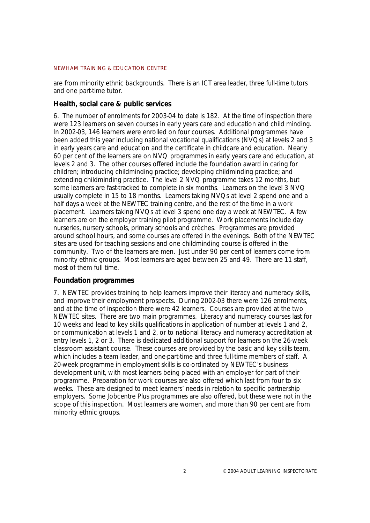are from minority ethnic backgrounds. There is an ICT area leader, three full-time tutors and one part-time tutor.

## **Health, social care & public services**

6. The number of enrolments for 2003-04 to date is 182. At the time of inspection there were 123 learners on seven courses in early years care and education and child minding. In 2002-03, 146 learners were enrolled on four courses. Additional programmes have been added this year including national vocational qualifications (NVQs) at levels 2 and 3 in early years care and education and the certificate in childcare and education. Nearly 60 per cent of the learners are on NVQ programmes in early years care and education, at levels 2 and 3. The other courses offered include the foundation award in caring for children; introducing childminding practice; developing childminding practice; and extending childminding practice. The level 2 NVQ programme takes 12 months, but some learners are fast-tracked to complete in six months. Learners on the level 3 NVQ usually complete in 15 to 18 months. Learners taking NVQs at level 2 spend one and a half days a week at the NEWTEC training centre, and the rest of the time in a work placement. Learners taking NVQs at level 3 spend one day a week at NEWTEC. A few learners are on the employer training pilot programme. Work placements include day nurseries, nursery schools, primary schools and crèches. Programmes are provided around school hours, and some courses are offered in the evenings. Both of the NEWTEC sites are used for teaching sessions and one childminding course is offered in the community. Two of the learners are men. Just under 90 per cent of learners come from minority ethnic groups. Most learners are aged between 25 and 49. There are 11 staff, most of them full time.

## **Foundation programmes**

7. NEWTEC provides training to help learners improve their literacy and numeracy skills, and improve their employment prospects. During 2002-03 there were 126 enrolments, and at the time of inspection there were 42 learners. Courses are provided at the two NEWTEC sites. There are two main programmes. Literacy and numeracy courses last for 10 weeks and lead to key skills qualifications in application of number at levels 1 and 2, or communication at levels 1 and 2, or to national literacy and numeracy accreditation at entry levels 1, 2 or 3. There is dedicated additional support for learners on the 26-week classroom assistant course. These courses are provided by the basic and key skills team, which includes a team leader, and one-part-time and three full-time members of staff. A 20-week programme in employment skills is co-ordinated by NEWTEC's business development unit, with most learners being placed with an employer for part of their programme. Preparation for work courses are also offered which last from four to six weeks. These are designed to meet learners' needs in relation to specific partnership employers. Some Jobcentre Plus programmes are also offered, but these were not in the scope of this inspection. Most learners are women, and more than 90 per cent are from minority ethnic groups.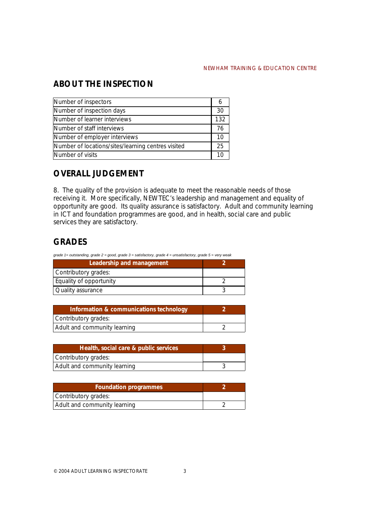## **ABOUT THE INSPECTION**

| Number of inspectors                               |    |
|----------------------------------------------------|----|
| Number of inspection days                          | 30 |
| Number of learner interviews                       |    |
| Number of staff interviews                         |    |
| Number of employer interviews                      |    |
| Number of locations/sites/learning centres visited |    |
| Number of visits                                   |    |

## **OVERALL JUDGEMENT**

8. The quality of the provision is adequate to meet the reasonable needs of those receiving it. More specifically, NEWTEC's leadership and management and equality of opportunity are good. Its quality assurance is satisfactory. Adult and community learning in ICT and foundation programmes are good, and in health, social care and public services they are satisfactory.

## **GRADES**

*grade 1= outstanding, grade 2 = good, grade 3 = satisfactory, grade 4 = unsatisfactory, grade 5 = very weak*

| Leadership and management |  |
|---------------------------|--|
| Contributory grades:      |  |
| Equality of opportunity   |  |
| Quality assurance         |  |

| Information & communications technology |  |
|-----------------------------------------|--|
| Contributory grades:                    |  |
| Adult and community learning            |  |

| Health, social care & public services |  |
|---------------------------------------|--|
| Contributory grades:                  |  |
| Adult and community learning          |  |

| <b>Foundation programmes</b> |  |
|------------------------------|--|
| Contributory grades:         |  |
| Adult and community learning |  |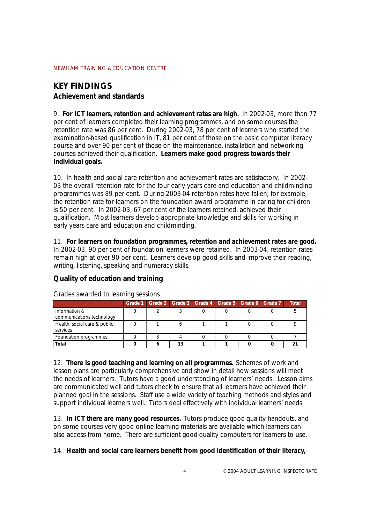# **KEY FINDINGS**

## **Achievement and standards**

9. **For ICT learners, retention and achievement rates are high.** In 2002-03, more than 77 per cent of learners completed their learning programmes, and on some courses the retention rate was 86 per cent. During 2002-03, 78 per cent of learners who started the examination-based qualification in IT, 81 per cent of those on the basic computer literacy course and over 90 per cent of those on the maintenance, installation and networking courses achieved their qualification. **Learners make good progress towards their individual goals.**

10. In health and social care retention and achievement rates are satisfactory. In 2002- 03 the overall retention rate for the four early years care and education and childminding programmes was 89 per cent. During 2003-04 retention rates have fallen; for example, the retention rate for learners on the foundation award programme in caring for children is 50 per cent. In 2002-03, 67 per cent of the learners retained, achieved their qualification. Most learners develop appropriate knowledge and skills for working in early years care and education and childminding.

11. **For learners on foundation programmes, retention and achievement rates are good.** In 2002-03, 90 per cent of foundation learners were retained. In 2003-04, retention rates remain high at over 90 per cent. Learners develop good skills and improve their reading, writing, listening, speaking and numeracy skills.

## **Quality of education and training**

|                                            |  |    | Grade 1 Grade 2 Grade 3 Grade 4 Grade 5 Grade 6 Grade 7 |  | <b>Total</b> |
|--------------------------------------------|--|----|---------------------------------------------------------|--|--------------|
| Information &<br>communications technology |  |    |                                                         |  |              |
| Health, social care & public<br>services   |  |    |                                                         |  |              |
| Foundation programmes                      |  |    |                                                         |  |              |
| Total                                      |  | 13 |                                                         |  | - 1          |

Grades awarded to learning sessions

12. **There is good teaching and learning on all programmes.** Schemes of work and lesson plans are particularly comprehensive and show in detail how sessions will meet the needs of learners. Tutors have a good understanding of learners' needs. Lesson aims are communicated well and tutors check to ensure that all learners have achieved their planned goal in the sessions. Staff use a wide variety of teaching methods and styles and support individual learners well. Tutors deal effectively with individual learners' needs.

13. **In ICT there are many good resources.** Tutors produce good-quality handouts, and on some courses very good online learning materials are available which learners can also access from home. There are sufficient good-quality computers for learners to use.

## 14. **Health and social care learners benefit from good identification of their literacy,**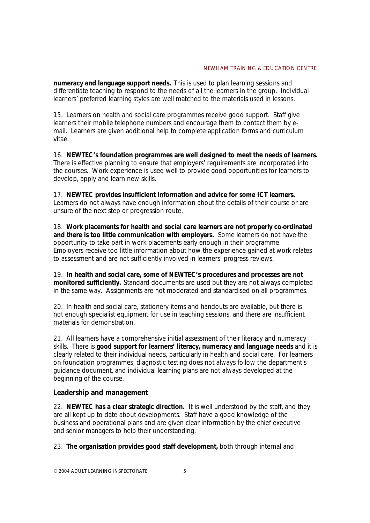**numeracy and language support needs.** This is used to plan learning sessions and differentiate teaching to respond to the needs of all the learners in the group. Individual learners' preferred learning styles are well matched to the materials used in lessons.

15. Learners on health and social care programmes receive good support. Staff give learners their mobile telephone numbers and encourage them to contact them by email. Learners are given additional help to complete application forms and curriculum vitae.

16. **NEWTEC's foundation programmes are well designed to meet the needs of learners.** There is effective planning to ensure that employers' requirements are incorporated into the courses. Work experience is used well to provide good opportunities for learners to develop, apply and learn new skills.

## 17. **NEWTEC provides insufficient information and advice for some ICT learners.**

Learners do not always have enough information about the details of their course or are unsure of the next step or progression route.

18. **Work placements for health and social care learners are not properly co-ordinated and there is too little communication with employers.** Some learners do not have the opportunity to take part in work placements early enough in their programme. Employers receive too little information about how the experience gained at work relates to assessment and are not sufficiently involved in learners' progress reviews.

19. **In health and social care, some of NEWTEC's procedures and processes are not monitored sufficiently.** Standard documents are used but they are not always completed in the same way. Assignments are not moderated and standardised on all programmes.

20. In health and social care, stationery items and handouts are available, but there is not enough specialist equipment for use in teaching sessions, and there are insufficient materials for demonstration.

21. All learners have a comprehensive initial assessment of their literacy and numeracy skills. There is **good support for learners' literacy, numeracy and language needs** and it is clearly related to their individual needs, particularly in health and social care. For learners on foundation programmes, diagnostic testing does not always follow the department's guidance document, and individual learning plans are not always developed at the beginning of the course.

## **Leadership and management**

22. **NEWTEC has a clear strategic direction.** It is well understood by the staff, and they are all kept up to date about developments. Staff have a good knowledge of the business and operational plans and are given clear information by the chief executive and senior managers to help their understanding.

## 23. **The organisation provides good staff development,** both through internal and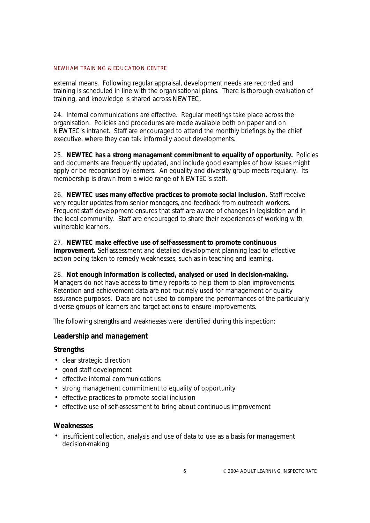external means. Following regular appraisal, development needs are recorded and training is scheduled in line with the organisational plans. There is thorough evaluation of training, and knowledge is shared across NEWTEC.

24. Internal communications are effective. Regular meetings take place across the organisation. Policies and procedures are made available both on paper and on NEWTEC's intranet. Staff are encouraged to attend the monthly briefings by the chief executive, where they can talk informally about developments.

25. **NEWTEC has a strong management commitment to equality of opportunity.** Policies and documents are frequently updated, and include good examples of how issues might apply or be recognised by learners. An equality and diversity group meets regularly. Its membership is drawn from a wide range of NEWTEC's staff.

26. **NEWTEC uses many effective practices to promote social inclusion.** Staff receive very regular updates from senior managers, and feedback from outreach workers. Frequent staff development ensures that staff are aware of changes in legislation and in the local community. Staff are encouraged to share their experiences of working with vulnerable learners.

## 27. **NEWTEC make effective use of self-assessment to promote continuous**

**improvement.** Self-assessment and detailed development planning lead to effective action being taken to remedy weaknesses, such as in teaching and learning.

## 28. **Not enough information is collected, analysed or used in decision-making.**

Managers do not have access to timely reports to help them to plan improvements. Retention and achievement data are not routinely used for management or quality assurance purposes. Data are not used to compare the performances of the particularly diverse groups of learners and target actions to ensure improvements.

*The following strengths and weaknesses were identified during this inspection:*

## **Leadership and management**

## **Strengths**

- clear strategic direction
- good staff development
- effective internal communications
- ! strong management commitment to equality of opportunity
- effective practices to promote social inclusion
- ! effective use of self-assessment to bring about continuous improvement

## **Weaknesses**

• insufficient collection, analysis and use of data to use as a basis for management decision-making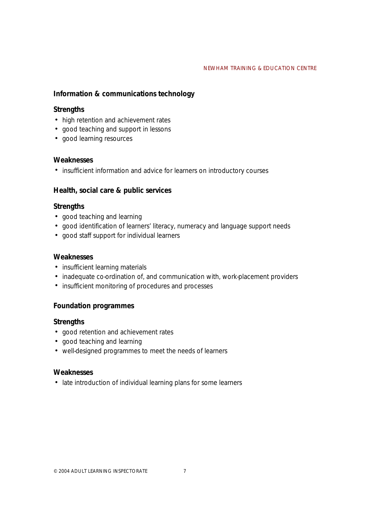## **Information & communications technology**

## **Strengths**

- high retention and achievement rates
- good teaching and support in lessons
- good learning resources

## **Weaknesses**

! insufficient information and advice for learners on introductory courses

## **Health, social care & public services**

## **Strengths**

- good teaching and learning
- ! good identification of learners' literacy, numeracy and language support needs
- ! good staff support for individual learners

## **Weaknesses**

- insufficient learning materials
- ! inadequate co-ordination of, and communication with, work-placement providers
- ! insufficient monitoring of procedures and processes

## **Foundation programmes**

## **Strengths**

- good retention and achievement rates
- good teaching and learning
- ! well-designed programmes to meet the needs of learners

## **Weaknesses**

• late introduction of individual learning plans for some learners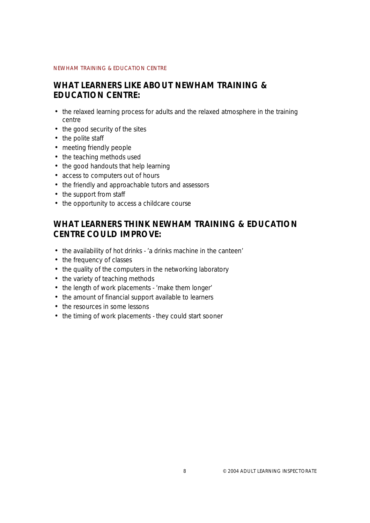## **WHAT LEARNERS LIKE ABOUT NEWHAM TRAINING & EDUCATION CENTRE:**

- the relaxed learning process for adults and the relaxed atmosphere in the training centre
- the good security of the sites
- the polite staff
- meeting friendly people
- the teaching methods used
- the good handouts that help learning
- access to computers out of hours
- the friendly and approachable tutors and assessors
- the support from staff
- the opportunity to access a childcare course

## **WHAT LEARNERS THINK NEWHAM TRAINING & EDUCATION CENTRE COULD IMPROVE:**

- the availability of hot drinks 'a drinks machine in the canteen'
- the frequency of classes
- the quality of the computers in the networking laboratory
- the variety of teaching methods
- the length of work placements 'make them longer'
- the amount of financial support available to learners
- the resources in some lessons
- the timing of work placements they could start sooner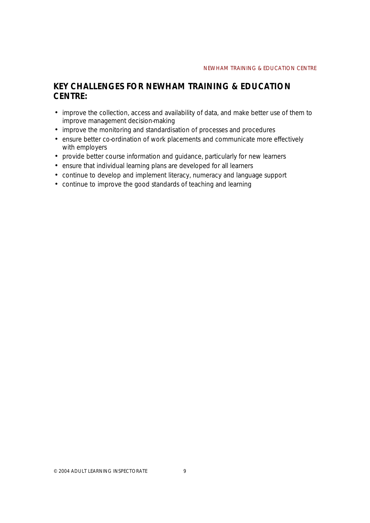## **KEY CHALLENGES FOR NEWHAM TRAINING & EDUCATION CENTRE:**

- improve the collection, access and availability of data, and make better use of them to improve management decision-making
- ! improve the monitoring and standardisation of processes and procedures
- ensure better co-ordination of work placements and communicate more effectively with employers
- ! provide better course information and guidance, particularly for new learners
- ! ensure that individual learning plans are developed for all learners
- ! continue to develop and implement literacy, numeracy and language support
- ! continue to improve the good standards of teaching and learning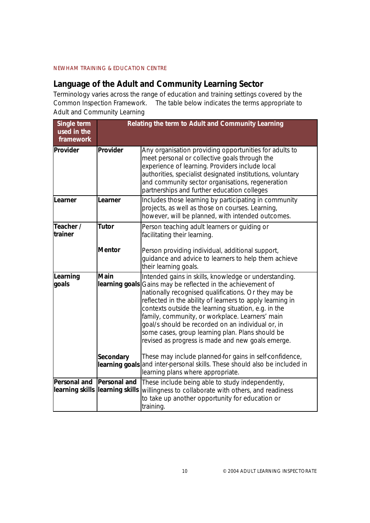## **Language of the Adult and Community Learning Sector**

Terminology varies across the range of education and training settings covered by the *Common Inspection Framework.* The table below indicates the terms appropriate to Adult and Community Learning

| Single term<br>used in the |                                                        | Relating the term to Adult and Community Learning                                                                                                                                                                                                                                                                                                                                                                                                                                                                  |  |
|----------------------------|--------------------------------------------------------|--------------------------------------------------------------------------------------------------------------------------------------------------------------------------------------------------------------------------------------------------------------------------------------------------------------------------------------------------------------------------------------------------------------------------------------------------------------------------------------------------------------------|--|
| framework<br>Provider      | Provider                                               | Any organisation providing opportunities for adults to<br>meet personal or collective goals through the<br>experience of learning. Providers include local<br>authorities, specialist designated institutions, voluntary<br>and community sector organisations, regeneration<br>partnerships and further education colleges                                                                                                                                                                                        |  |
| Learner                    | Learner                                                | Includes those learning by participating in community<br>projects, as well as those on courses. Learning,<br>however, will be planned, with intended outcomes.                                                                                                                                                                                                                                                                                                                                                     |  |
| Teacher /<br>trainer       | <b>Tutor</b>                                           | Person teaching adult learners or guiding or<br>facilitating their learning.                                                                                                                                                                                                                                                                                                                                                                                                                                       |  |
|                            | <b>Mentor</b>                                          | Person providing individual, additional support,<br>guidance and advice to learners to help them achieve<br>their learning goals.                                                                                                                                                                                                                                                                                                                                                                                  |  |
| Learning<br>goals          | <b>Main</b>                                            | Intended gains in skills, knowledge or understanding.<br>learning goals Gains may be reflected in the achievement of<br>nationally recognised qualifications. Or they may be<br>reflected in the ability of learners to apply learning in<br>contexts outside the learning situation, e.g. in the<br>family, community, or workplace. Learners' main<br>goal/s should be recorded on an individual or, in<br>some cases, group learning plan. Plans should be<br>revised as progress is made and new goals emerge. |  |
|                            | <b>Secondary</b>                                       | These may include planned-for gains in self-confidence,<br>learning goals and inter-personal skills. These should also be included in<br>learning plans where appropriate.                                                                                                                                                                                                                                                                                                                                         |  |
| <b>Personal and</b>        | <b>Personal and</b><br>learning skills learning skills | These include being able to study independently,<br>willingness to collaborate with others, and readiness<br>to take up another opportunity for education or<br>training.                                                                                                                                                                                                                                                                                                                                          |  |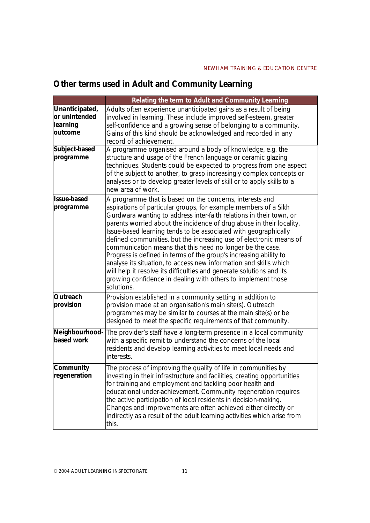# **Other terms used in Adult and Community Learning**

|                                                        | Relating the term to Adult and Community Learning                                                                                                                                                                                                                                                                                                                                                                                                                                                                                                                                                                                                                                                                                                                                |
|--------------------------------------------------------|----------------------------------------------------------------------------------------------------------------------------------------------------------------------------------------------------------------------------------------------------------------------------------------------------------------------------------------------------------------------------------------------------------------------------------------------------------------------------------------------------------------------------------------------------------------------------------------------------------------------------------------------------------------------------------------------------------------------------------------------------------------------------------|
| Unanticipated,<br>or unintended<br>learning<br>outcome | Adults often experience unanticipated gains as a result of being<br>involved in learning. These include improved self-esteem, greater<br>self-confidence and a growing sense of belonging to a community.<br>Gains of this kind should be acknowledged and recorded in any<br>record of achievement.                                                                                                                                                                                                                                                                                                                                                                                                                                                                             |
| Subject-based<br>programme                             | A programme organised around a body of knowledge, e.g. the<br>structure and usage of the French language or ceramic glazing<br>techniques. Students could be expected to progress from one aspect<br>of the subject to another, to grasp increasingly complex concepts or<br>analyses or to develop greater levels of skill or to apply skills to a<br>new area of work.                                                                                                                                                                                                                                                                                                                                                                                                         |
| <b>Issue-based</b><br>programme                        | A programme that is based on the concerns, interests and<br>aspirations of particular groups, for example members of a Sikh<br>Gurdwara wanting to address inter-faith relations in their town, or<br>parents worried about the incidence of drug abuse in their locality.<br>Issue-based learning tends to be associated with geographically<br>defined communities, but the increasing use of electronic means of<br>communication means that this need no longer be the case.<br>Progress is defined in terms of the group's increasing ability to<br>analyse its situation, to access new information and skills which<br>will help it resolve its difficulties and generate solutions and its<br>growing confidence in dealing with others to implement those<br>solutions. |
| Outreach<br>provision                                  | Provision established in a community setting in addition to<br>provision made at an organisation's main site(s). Outreach<br>programmes may be similar to courses at the main site(s) or be<br>designed to meet the specific requirements of that community.                                                                                                                                                                                                                                                                                                                                                                                                                                                                                                                     |
| based work                                             | Neighbourhood- The provider's staff have a long-term presence in a local community<br>with a specific remit to understand the concerns of the local<br>residents and develop learning activities to meet local needs and<br>interests.                                                                                                                                                                                                                                                                                                                                                                                                                                                                                                                                           |
| <b>Community</b><br>regeneration                       | The process of improving the quality of life in communities by<br>investing in their infrastructure and facilities, creating opportunities<br>for training and employment and tackling poor health and<br>educational under-achievement. Community regeneration requires<br>the active participation of local residents in decision-making.<br>Changes and improvements are often achieved either directly or<br>indirectly as a result of the adult learning activities which arise from<br>this.                                                                                                                                                                                                                                                                               |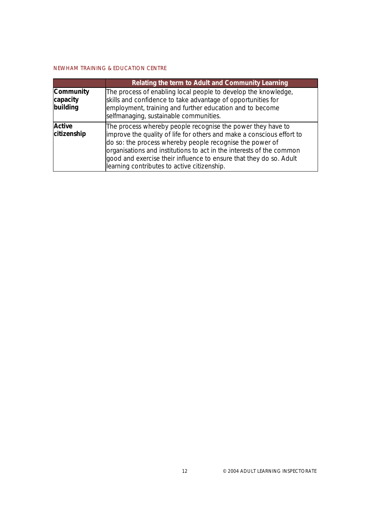|                                   | Relating the term to Adult and Community Learning                                                                                                                                                                                                                                                                                                                                             |
|-----------------------------------|-----------------------------------------------------------------------------------------------------------------------------------------------------------------------------------------------------------------------------------------------------------------------------------------------------------------------------------------------------------------------------------------------|
| Community<br>capacity<br>building | The process of enabling local people to develop the knowledge,<br>skills and confidence to take advantage of opportunities for<br>employment, training and further education and to become<br>selfmanaging, sustainable communities.                                                                                                                                                          |
| <b>Active</b><br>citizenship      | The process whereby people recognise the power they have to<br>improve the quality of life for others and make a conscious effort to<br>do so: the process whereby people recognise the power of<br>organisations and institutions to act in the interests of the common<br>good and exercise their influence to ensure that they do so. Adult<br>learning contributes to active citizenship. |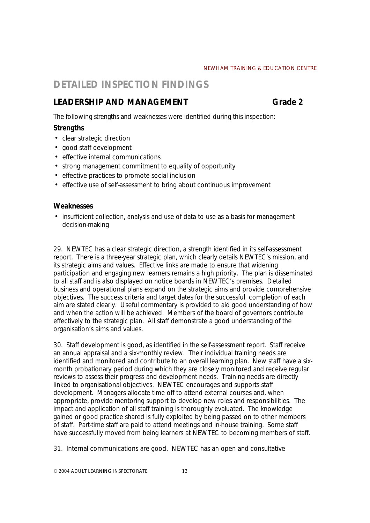## **DETAILED INSPECTION FINDINGS**

## LEADERSHIP AND MANAGEMENT **CONSERVERSHIP AND MANAGEMENT**

*The following strengths and weaknesses were identified during this inspection:*

## **Strengths**

- clear strategic direction
- good staff development
- effective internal communications
- ! strong management commitment to equality of opportunity
- effective practices to promote social inclusion
- ! effective use of self-assessment to bring about continuous improvement

## **Weaknesses**

• insufficient collection, analysis and use of data to use as a basis for management decision-making

29. NEWTEC has a clear strategic direction, a strength identified in its self-assessment report. There is a three-year strategic plan, which clearly details NEWTEC's mission, and its strategic aims and values. Effective links are made to ensure that widening participation and engaging new learners remains a high priority. The plan is disseminated to all staff and is also displayed on notice boards in NEWTEC's premises. Detailed business and operational plans expand on the strategic aims and provide comprehensive objectives. The success criteria and target dates for the successful completion of each aim are stated clearly. Useful commentary is provided to aid good understanding of how and when the action will be achieved. Members of the board of governors contribute effectively to the strategic plan. All staff demonstrate a good understanding of the organisation's aims and values.

30. Staff development is good, as identified in the self-assessment report. Staff receive an annual appraisal and a six-monthly review. Their individual training needs are identified and monitored and contribute to an overall learning plan. New staff have a sixmonth probationary period during which they are closely monitored and receive regular reviews to assess their progress and development needs. Training needs are directly linked to organisational objectives. NEWTEC encourages and supports staff development. Managers allocate time off to attend external courses and, when appropriate, provide mentoring support to develop new roles and responsibilities. The impact and application of all staff training is thoroughly evaluated. The knowledge gained or good practice shared is fully exploited by being passed on to other members of staff. Part-time staff are paid to attend meetings and in-house training. Some staff have successfully moved from being learners at NEWTEC to becoming members of staff.

31. Internal communications are good. NEWTEC has an open and consultative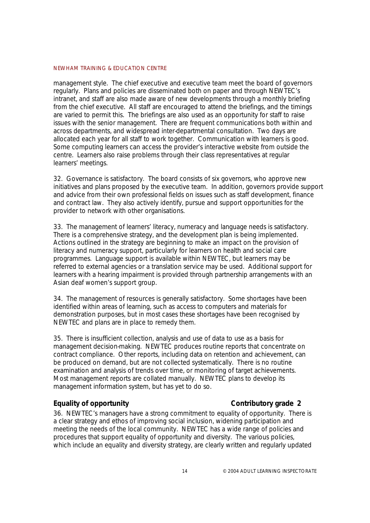management style. The chief executive and executive team meet the board of governors regularly. Plans and policies are disseminated both on paper and through NEWTEC's intranet, and staff are also made aware of new developments through a monthly briefing from the chief executive. All staff are encouraged to attend the briefings, and the timings are varied to permit this. The briefings are also used as an opportunity for staff to raise issues with the senior management. There are frequent communications both within and across departments, and widespread inter-departmental consultation. Two days are allocated each year for all staff to work together. Communication with learners is good. Some computing learners can access the provider's interactive website from outside the centre. Learners also raise problems through their class representatives at regular learners' meetings.

32. Governance is satisfactory. The board consists of six governors, who approve new initiatives and plans proposed by the executive team. In addition, governors provide support and advice from their own professional fields on issues such as staff development, finance and contract law. They also actively identify, pursue and support opportunities for the provider to network with other organisations.

33. The management of learners' literacy, numeracy and language needs is satisfactory. There is a comprehensive strategy, and the development plan is being implemented. Actions outlined in the strategy are beginning to make an impact on the provision of literacy and numeracy support, particularly for learners on health and social care programmes. Language support is available within NEWTEC, but learners may be referred to external agencies or a translation service may be used. Additional support for learners with a hearing impairment is provided through partnership arrangements with an Asian deaf women's support group.

34. The management of resources is generally satisfactory. Some shortages have been identified within areas of learning, such as access to computers and materials for demonstration purposes, but in most cases these shortages have been recognised by NEWTEC and plans are in place to remedy them.

35. There is insufficient collection, analysis and use of data to use as a basis for management decision-making. NEWTEC produces routine reports that concentrate on contract compliance. Other reports, including data on retention and achievement, can be produced on demand, but are not collected systematically. There is no routine examination and analysis of trends over time, or monitoring of target achievements. Most management reports are collated manually. NEWTEC plans to develop its management information system, but has yet to do so.

## **Equality of opportunity** Contributory grade 2

36. NEWTEC's managers have a strong commitment to equality of opportunity. There is a clear strategy and ethos of improving social inclusion, widening participation and meeting the needs of the local community. NEWTEC has a wide range of policies and procedures that support equality of opportunity and diversity. The various policies, which include an equality and diversity strategy, are clearly written and regularly updated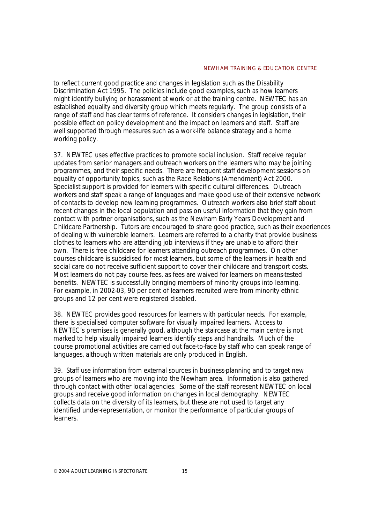to reflect current good practice and changes in legislation such as the Disability Discrimination Act 1995. The policies include good examples, such as how learners might identify bullying or harassment at work or at the training centre. NEWTEC has an established equality and diversity group which meets regularly. The group consists of a range of staff and has clear terms of reference. It considers changes in legislation, their possible effect on policy development and the impact on learners and staff. Staff are well supported through measures such as a work-life balance strategy and a home working policy.

37. NEWTEC uses effective practices to promote social inclusion. Staff receive regular updates from senior managers and outreach workers on the learners who may be joining programmes, and their specific needs. There are frequent staff development sessions on equality of opportunity topics, such as the Race Relations (Amendment) Act 2000. Specialist support is provided for learners with specific cultural differences. Outreach workers and staff speak a range of languages and make good use of their extensive network of contacts to develop new learning programmes. Outreach workers also brief staff about recent changes in the local population and pass on useful information that they gain from contact with partner organisations, such as the Newham Early Years Development and Childcare Partnership. Tutors are encouraged to share good practice, such as their experiences of dealing with vulnerable learners. Learners are referred to a charity that provide business clothes to learners who are attending job interviews if they are unable to afford their own. There is free childcare for learners attending outreach programmes. On other courses childcare is subsidised for most learners, but some of the learners in health and social care do not receive sufficient support to cover their childcare and transport costs. Most learners do not pay course fees, as fees are waived for learners on means-tested benefits. NEWTEC is successfully bringing members of minority groups into learning. For example, in 2002-03, 90 per cent of learners recruited were from minority ethnic groups and 12 per cent were registered disabled.

38. NEWTEC provides good resources for learners with particular needs. For example, there is specialised computer software for visually impaired learners. Access to NEWTEC's premises is generally good, although the staircase at the main centre is not marked to help visually impaired learners identify steps and handrails. Much of the course promotional activities are carried out face-to-face by staff who can speak range of languages, although written materials are only produced in English.

39. Staff use information from external sources in business-planning and to target new groups of learners who are moving into the Newham area. Information is also gathered through contact with other local agencies. Some of the staff represent NEWTEC on local groups and receive good information on changes in local demography. NEWTEC collects data on the diversity of its learners, but these are not used to target any identified under-representation, or monitor the performance of particular groups of learners.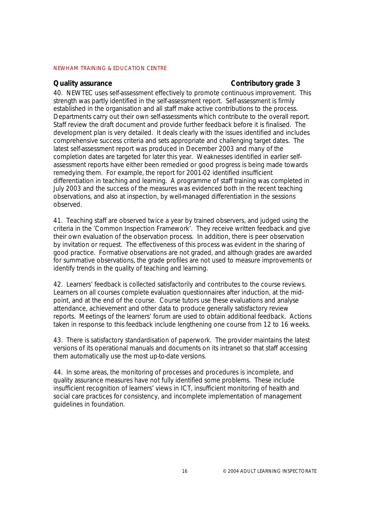## **Quality assurance Contributory grade 3**

40. NEWTEC uses self-assessment effectively to promote continuous improvement. This strength was partly identified in the self-assessment report. Self-assessment is firmly established in the organisation and all staff make active contributions to the process. Departments carry out their own self-assessments which contribute to the overall report. Staff review the draft document and provide further feedback before it is finalised. The development plan is very detailed. It deals clearly with the issues identified and includes comprehensive success criteria and sets appropriate and challenging target dates. The latest self-assessment report was produced in December 2003 and many of the completion dates are targeted for later this year. Weaknesses identified in earlier selfassessment reports have either been remedied or good progress is being made towards remedying them. For example, the report for 2001-02 identified insufficient differentiation in teaching and learning. A programme of staff training was completed in July 2003 and the success of the measures was evidenced both in the recent teaching observations, and also at inspection, by well-managed differentiation in the sessions observed.

41. Teaching staff are observed twice a year by trained observers, and judged using the criteria in the 'Common Inspection Framework'. They receive written feedback and give their own evaluation of the observation process. In addition, there is peer observation by invitation or request. The effectiveness of this process was evident in the sharing of good practice. Formative observations are not graded, and although grades are awarded for summative observations, the grade profiles are not used to measure improvements or identify trends in the quality of teaching and learning.

42. Learners' feedback is collected satisfactorily and contributes to the course reviews. Learners on all courses complete evaluation questionnaires after induction, at the midpoint, and at the end of the course. Course tutors use these evaluations and analyse attendance, achievement and other data to produce generally satisfactory review reports. Meetings of the learners' forum are used to obtain additional feedback. Actions taken in response to this feedback include lengthening one course from 12 to 16 weeks.

43. There is satisfactory standardisation of paperwork. The provider maintains the latest versions of its operational manuals and documents on its intranet so that staff accessing them automatically use the most up-to-date versions.

44. In some areas, the monitoring of processes and procedures is incomplete, and quality assurance measures have not fully identified some problems. These include insufficient recognition of learners' views in ICT, insufficient monitoring of health and social care practices for consistency, and incomplete implementation of management guidelines in foundation.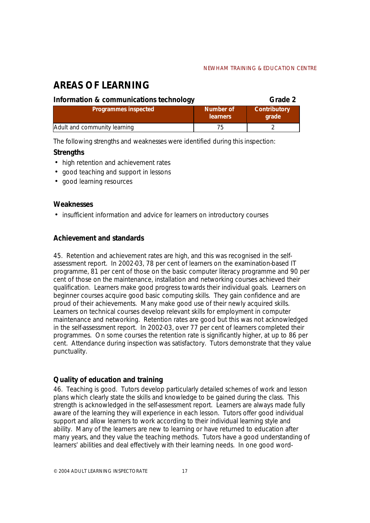# **AREAS OF LEARNING**

| Information & communications technology |                              | Grade 2                      |
|-----------------------------------------|------------------------------|------------------------------|
| <b>Programmes inspected</b>             | Number of<br><b>learners</b> | <b>Contributory</b><br>grade |
| Adult and community learning            | 75                           |                              |

*The following strengths and weaknesses were identified during this inspection:*

## **Strengths**

- high retention and achievement rates
- good teaching and support in lessons
- good learning resources

## **Weaknesses**

! insufficient information and advice for learners on introductory courses

## **Achievement and standards**

45. Retention and achievement rates are high, and this was recognised in the selfassessment report. In 2002-03, 78 per cent of learners on the examination-based IT programme, 81 per cent of those on the basic computer literacy programme and 90 per cent of those on the maintenance, installation and networking courses achieved their qualification. Learners make good progress towards their individual goals. Learners on beginner courses acquire good basic computing skills. They gain confidence and are proud of their achievements. Many make good use of their newly acquired skills. Learners on technical courses develop relevant skills for employment in computer maintenance and networking. Retention rates are good but this was not acknowledged in the self-assessment report. In 2002-03, over 77 per cent of learners completed their programmes. On some courses the retention rate is significantly higher, at up to 86 per cent. Attendance during inspection was satisfactory. Tutors demonstrate that they value punctuality.

## **Quality of education and training**

46. Teaching is good. Tutors develop particularly detailed schemes of work and lesson plans which clearly state the skills and knowledge to be gained during the class. This strength is acknowledged in the self-assessment report. Learners are always made fully aware of the learning they will experience in each lesson. Tutors offer good individual support and allow learners to work according to their individual learning style and ability. Many of the learners are new to learning or have returned to education after many years, and they value the teaching methods. Tutors have a good understanding of learners' abilities and deal effectively with their learning needs. In one good word-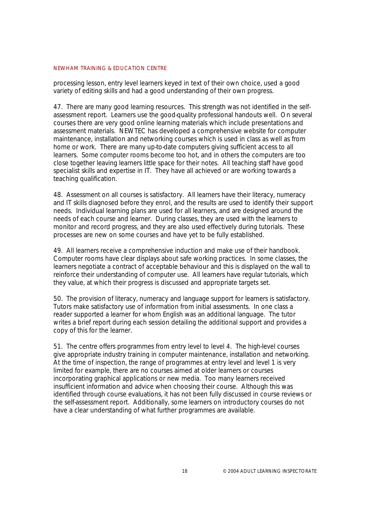processing lesson, entry level learners keyed in text of their own choice, used a good variety of editing skills and had a good understanding of their own progress.

47. There are many good learning resources. This strength was not identified in the selfassessment report. Learners use the good-quality professional handouts well. On several courses there are very good online learning materials which include presentations and assessment materials. NEWTEC has developed a comprehensive website for computer maintenance, installation and networking courses which is used in class as well as from home or work. There are many up-to-date computers giving sufficient access to all learners. Some computer rooms become too hot, and in others the computers are too close together leaving learners little space for their notes. All teaching staff have good specialist skills and expertise in IT. They have all achieved or are working towards a teaching qualification.

48. Assessment on all courses is satisfactory. All learners have their literacy, numeracy and IT skills diagnosed before they enrol, and the results are used to identify their support needs. Individual learning plans are used for all learners, and are designed around the needs of each course and learner. During classes, they are used with the learners to monitor and record progress, and they are also used effectively during tutorials. These processes are new on some courses and have yet to be fully established.

49. All learners receive a comprehensive induction and make use of their handbook. Computer rooms have clear displays about safe working practices. In some classes, the learners negotiate a contract of acceptable behaviour and this is displayed on the wall to reinforce their understanding of computer use. All learners have regular tutorials, which they value, at which their progress is discussed and appropriate targets set.

50. The provision of literacy, numeracy and language support for learners is satisfactory. Tutors make satisfactory use of information from initial assessments. In one class a reader supported a learner for whom English was an additional language. The tutor writes a brief report during each session detailing the additional support and provides a copy of this for the learner.

51. The centre offers programmes from entry level to level 4. The high-level courses give appropriate industry training in computer maintenance, installation and networking. At the time of inspection, the range of programmes at entry level and level 1 is very limited for example, there are no courses aimed at older learners or courses incorporating graphical applications or new media. Too many learners received insufficient information and advice when choosing their course. Although this was identified through course evaluations, it has not been fully discussed in course reviews or the self-assessment report. Additionally, some learners on introductory courses do not have a clear understanding of what further programmes are available.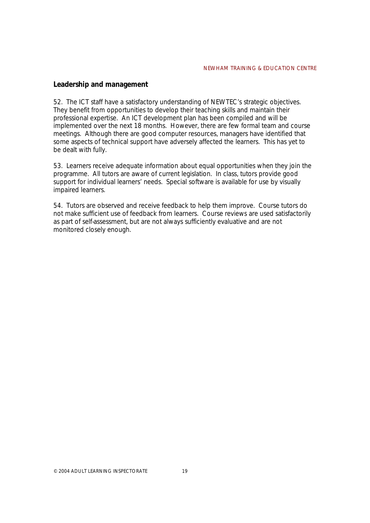## **Leadership and management**

52. The ICT staff have a satisfactory understanding of NEWTEC's strategic objectives. They benefit from opportunities to develop their teaching skills and maintain their professional expertise. An ICT development plan has been compiled and will be implemented over the next 18 months. However, there are few formal team and course meetings. Although there are good computer resources, managers have identified that some aspects of technical support have adversely affected the learners. This has yet to be dealt with fully.

53. Learners receive adequate information about equal opportunities when they join the programme. All tutors are aware of current legislation. In class, tutors provide good support for individual learners' needs. Special software is available for use by visually impaired learners.

54. Tutors are observed and receive feedback to help them improve. Course tutors do not make sufficient use of feedback from learners. Course reviews are used satisfactorily as part of self-assessment, but are not always sufficiently evaluative and are not monitored closely enough.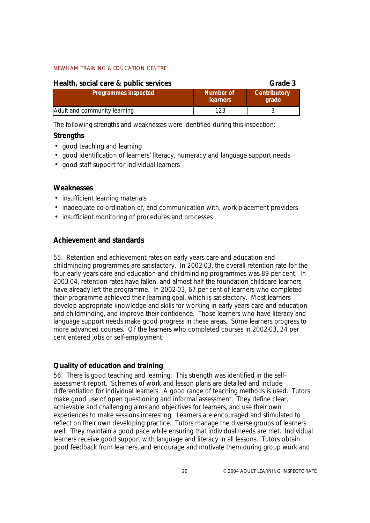| Health, social care & public services |                              | Grade 3                      |
|---------------------------------------|------------------------------|------------------------------|
| <b>Programmes inspected</b>           | Number of<br><b>learners</b> | <b>Contributory</b><br>grade |
| Adult and community learning          | 123                          |                              |

*The following strengths and weaknesses were identified during this inspection:*

## **Strengths**

- good teaching and learning
- ! good identification of learners' literacy, numeracy and language support needs
- good staff support for individual learners

## **Weaknesses**

- insufficient learning materials
- ! inadequate co-ordination of, and communication with, work-placement providers
- insufficient monitoring of procedures and processes

## **Achievement and standards**

55. Retention and achievement rates on early years care and education and childminding programmes are satisfactory. In 2002-03, the overall retention rate for the four early years care and education and childminding programmes was 89 per cent. In 2003-04, retention rates have fallen, and almost half the foundation childcare learners have already left the programme. In 2002-03, 67 per cent of learners who completed their programme achieved their learning goal, which is satisfactory. Most learners develop appropriate knowledge and skills for working in early years care and education and childminding, and improve their confidence. Those learners who have literacy and language support needs make good progress in these areas. Some learners progress to more advanced courses. Of the learners who completed courses in 2002-03, 24 per cent entered jobs or self-employment.

## **Quality of education and training**

56. There is good teaching and learning. This strength was identified in the selfassessment report. Schemes of work and lesson plans are detailed and include differentiation for individual learners. A good range of teaching methods is used. Tutors make good use of open questioning and informal assessment. They define clear, achievable and challenging aims and objectives for learners, and use their own experiences to make sessions interesting. Learners are encouraged and stimulated to reflect on their own developing practice. Tutors manage the diverse groups of learners well. They maintain a good pace while ensuring that individual needs are met. Individual learners receive good support with language and literacy in all lessons. Tutors obtain good feedback from learners, and encourage and motivate them during group work and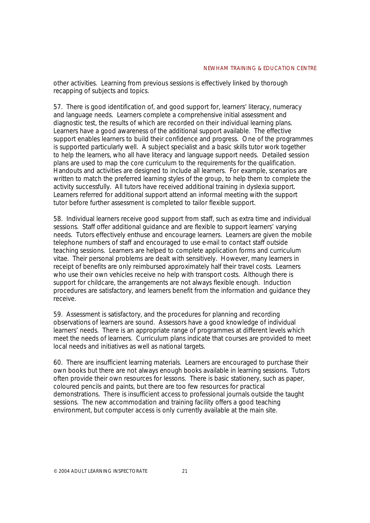other activities. Learning from previous sessions is effectively linked by thorough recapping of subjects and topics.

57. There is good identification of, and good support for, learners' literacy, numeracy and language needs. Learners complete a comprehensive initial assessment and diagnostic test, the results of which are recorded on their individual learning plans. Learners have a good awareness of the additional support available. The effective support enables learners to build their confidence and progress. One of the programmes is supported particularly well. A subject specialist and a basic skills tutor work together to help the learners, who all have literacy and language support needs. Detailed session plans are used to map the core curriculum to the requirements for the qualification. Handouts and activities are designed to include all learners. For example, scenarios are written to match the preferred learning styles of the group, to help them to complete the activity successfully. All tutors have received additional training in dyslexia support. Learners referred for additional support attend an informal meeting with the support tutor before further assessment is completed to tailor flexible support.

58. Individual learners receive good support from staff, such as extra time and individual sessions. Staff offer additional guidance and are flexible to support learners' varying needs. Tutors effectively enthuse and encourage learners. Learners are given the mobile telephone numbers of staff and encouraged to use e-mail to contact staff outside teaching sessions. Learners are helped to complete application forms and curriculum vitae. Their personal problems are dealt with sensitively. However, many learners in receipt of benefits are only reimbursed approximately half their travel costs. Learners who use their own vehicles receive no help with transport costs. Although there is support for childcare, the arrangements are not always flexible enough. Induction procedures are satisfactory, and learners benefit from the information and guidance they receive.

59. Assessment is satisfactory, and the procedures for planning and recording observations of learners are sound. Assessors have a good knowledge of individual learners' needs. There is an appropriate range of programmes at different levels which meet the needs of learners. Curriculum plans indicate that courses are provided to meet local needs and initiatives as well as national targets.

60. There are insufficient learning materials. Learners are encouraged to purchase their own books but there are not always enough books available in learning sessions. Tutors often provide their own resources for lessons. There is basic stationery, such as paper, coloured pencils and paints, but there are too few resources for practical demonstrations. There is insufficient access to professional journals outside the taught sessions. The new accommodation and training facility offers a good teaching environment, but computer access is only currently available at the main site.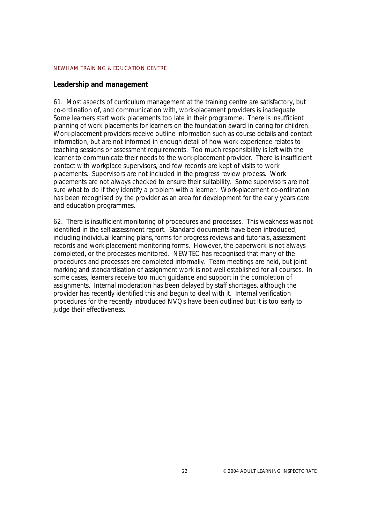## **Leadership and management**

61. Most aspects of curriculum management at the training centre are satisfactory, but co-ordination of, and communication with, work-placement providers is inadequate. Some learners start work placements too late in their programme. There is insufficient planning of work placements for learners on the foundation award in caring for children. Work-placement providers receive outline information such as course details and contact information, but are not informed in enough detail of how work experience relates to teaching sessions or assessment requirements. Too much responsibility is left with the learner to communicate their needs to the work-placement provider. There is insufficient contact with workplace supervisors, and few records are kept of visits to work placements. Supervisors are not included in the progress review process. Work placements are not always checked to ensure their suitability. Some supervisors are not sure what to do if they identify a problem with a learner. Work-placement co-ordination has been recognised by the provider as an area for development for the early years care and education programmes.

62. There is insufficient monitoring of procedures and processes. This weakness was not identified in the self-assessment report. Standard documents have been introduced, including individual learning plans, forms for progress reviews and tutorials, assessment records and work-placement monitoring forms. However, the paperwork is not always completed, or the processes monitored. NEWTEC has recognised that many of the procedures and processes are completed informally. Team meetings are held, but joint marking and standardisation of assignment work is not well established for all courses. In some cases, learners receive too much guidance and support in the completion of assignments. Internal moderation has been delayed by staff shortages, although the provider has recently identified this and begun to deal with it. Internal verification procedures for the recently introduced NVQs have been outlined but it is too early to judge their effectiveness.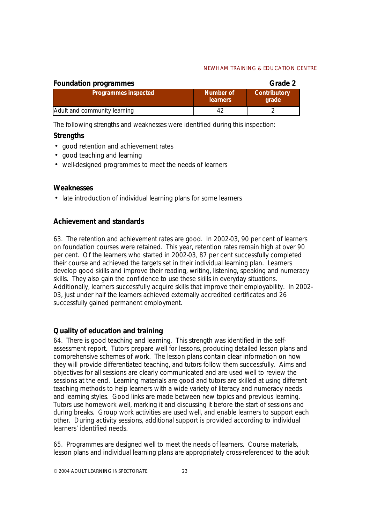| <b>Foundation programmes</b> |                              | Grade 2                      |
|------------------------------|------------------------------|------------------------------|
| <b>Programmes inspected</b>  | Number of<br><b>learners</b> | <b>Contributory</b><br>grade |
| Adult and community learning | 42                           |                              |

*The following strengths and weaknesses were identified during this inspection:*

## **Strengths**

- ! good retention and achievement rates
- good teaching and learning
- ! well-designed programmes to meet the needs of learners

## **Weaknesses**

• late introduction of individual learning plans for some learners

## **Achievement and standards**

63. The retention and achievement rates are good. In 2002-03, 90 per cent of learners on foundation courses were retained. This year, retention rates remain high at over 90 per cent. Of the learners who started in 2002-03, 87 per cent successfully completed their course and achieved the targets set in their individual learning plan. Learners develop good skills and improve their reading, writing, listening, speaking and numeracy skills. They also gain the confidence to use these skills in everyday situations. Additionally, learners successfully acquire skills that improve their employability. In 2002- 03, just under half the learners achieved externally accredited certificates and 26 successfully gained permanent employment.

## **Quality of education and training**

64. There is good teaching and learning. This strength was identified in the selfassessment report. Tutors prepare well for lessons, producing detailed lesson plans and comprehensive schemes of work. The lesson plans contain clear information on how they will provide differentiated teaching, and tutors follow them successfully. Aims and objectives for all sessions are clearly communicated and are used well to review the sessions at the end. Learning materials are good and tutors are skilled at using different teaching methods to help learners with a wide variety of literacy and numeracy needs and learning styles. Good links are made between new topics and previous learning. Tutors use homework well, marking it and discussing it before the start of sessions and during breaks. Group work activities are used well, and enable learners to support each other. During activity sessions, additional support is provided according to individual learners' identified needs.

65. Programmes are designed well to meet the needs of learners. Course materials, lesson plans and individual learning plans are appropriately cross-referenced to the adult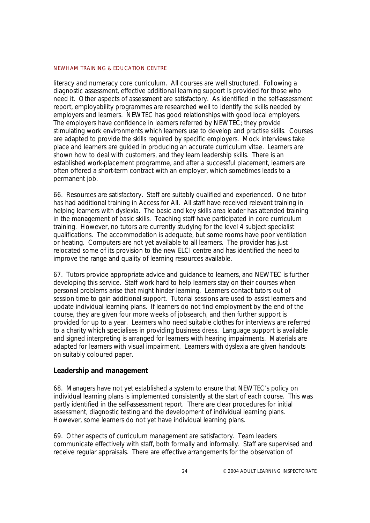literacy and numeracy core curriculum. All courses are well structured. Following a diagnostic assessment, effective additional learning support is provided for those who need it. Other aspects of assessment are satisfactory. As identified in the self-assessment report, employability programmes are researched well to identify the skills needed by employers and learners. NEWTEC has good relationships with good local employers. The employers have confidence in learners referred by NEWTEC; they provide stimulating work environments which learners use to develop and practise skills. Courses are adapted to provide the skills required by specific employers. Mock interviews take place and learners are guided in producing an accurate curriculum vitae. Learners are shown how to deal with customers, and they learn leadership skills. There is an established work-placement programme, and after a successful placement, learners are often offered a short-term contract with an employer, which sometimes leads to a permanent job.

66. Resources are satisfactory. Staff are suitably qualified and experienced. One tutor has had additional training in Access for All. All staff have received relevant training in helping learners with dyslexia. The basic and key skills area leader has attended training in the management of basic skills. Teaching staff have participated in core curriculum training. However, no tutors are currently studying for the level 4 subject specialist qualifications. The accommodation is adequate, but some rooms have poor ventilation or heating. Computers are not yet available to all learners. The provider has just relocated some of its provision to the new ELCI centre and has identified the need to improve the range and quality of learning resources available.

67. Tutors provide appropriate advice and guidance to learners, and NEWTEC is further developing this service. Staff work hard to help learners stay on their courses when personal problems arise that might hinder learning. Learners contact tutors out of session time to gain additional support. Tutorial sessions are used to assist learners and update individual learning plans. If learners do not find employment by the end of the course, they are given four more weeks of jobsearch, and then further support is provided for up to a year. Learners who need suitable clothes for interviews are referred to a charity which specialises in providing business dress. Language support is available and signed interpreting is arranged for learners with hearing impairments. Materials are adapted for learners with visual impairment. Learners with dyslexia are given handouts on suitably coloured paper.

## **Leadership and management**

68. Managers have not yet established a system to ensure that NEWTEC's policy on individual learning plans is implemented consistently at the start of each course. This was partly identified in the self-assessment report. There are clear procedures for initial assessment, diagnostic testing and the development of individual learning plans. However, some learners do not yet have individual learning plans.

69. Other aspects of curriculum management are satisfactory. Team leaders communicate effectively with staff, both formally and informally. Staff are supervised and receive regular appraisals. There are effective arrangements for the observation of